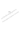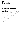

#### บันทึกข้อความ

สำนักงานคณะกรรมการบัณฑิตศึกษา ส่วนราชการ ล่ วันที่ ๘ ดุลาคม ๒๕๔๖ บทศ. วงธ์สาดสัสธ d.<br>Bri ขอความอนุเคราะห์ในการตรวจสอบเครื่องมือในการวิจัย

เรียน

คั๋วย <mark>นายวีระ ฐปทอง</mark> นักศึกษาหลักสูตรครุศาสตรมหาบัณฑิต สาขาการบริหารการ ์ศึกษา รุ่นที่ ๔ - กำลังคำเนินการทำวิทยานิพนธ์ เรื่อง การศึกษาความคิดเห็นของบุคถากรเกี่ยวกับความ พร้อมในการคำเนินงานของศูนย์การท่องเที่ยว กีฬา และนันทนาการจังหวัด เขตภาคเหนือ โดยทิ้วร ใช้เครื่องมือในการวิจัย

ในการนี้สำนักงานคณะกรรมการบัณฑิตศึกษา จึงใคร่ขอความอนุเคราะห์จากท่าน ึกรุณาครวจสอบเครื่องมือในการวิจัยนี้ค้วย เพื่อนักศึกษาจะได้นำไปปรัฐฟรุงแก้ในและค้าเนินการต่อไป

จึงเรียนมาเพื่อโปรคพิจารณาให้ดูวามอนุหริมะห์และพอขอบพระกุณเป็นอย่างสูงนา

ุณ โอกาสนี้

VEI

(ศัชวินศาสตรางารย์ คร.อำนวยพร สุนทรสมัย) นม*าน*ศารสำนักงา**นคณะกรรมการบัณฑิตศึกษ**า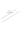MARTING CONCRETAIN RAILWAY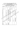### ตารางค่ำดัชนึความสอดคล้องระหว่างข้อความกับคุณลักษณะที่ต้องการวัด (IOC) ของแบบสอบถามเพื่อการวิจัย

เรื่อง การศึกษาความคิดเห็นของบุคลากรเกี่ยวกับความพร้อมในการดำเนินงานของศูนย์ การท่องเที่ยว กีฬาและนันทนาการจังหวัด เขตภาคเหนือ

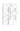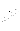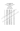#### $m$ รวิเคราะห์ความเชื่อมั่นของเครื่องมือ

#### **Rellablltty**

\*\*\*\*\*\* Method (space saver) will be used far this analysis \*\*\*\*\*\*

**RELlABlUiV ANALYSIS** - **SCALE (ALPHA)** 

**Item-total Statistics** 

**Scale Scale Corrected** 

Mean **Variance Item- Atpha** 

**If Item ifltem Total if llem** 

Deleted Deleted Correlation Deleted

| n1   | 174.8000        | 1559.6000 | .8795 | .9808 |
|------|-----------------|-----------|-------|-------|
| n2   | 175.6000        | 1607.8286 | .3576 | :9647 |
| n3   | 174.4000        | 1587.2571 | .6855 | 3812  |
| n4   | 175.4667        | 1597.4095 | 5356  | .9814 |
| n5   | 174.2000        | 1592.7429 | 7403  | .9811 |
| n6   | 175.0667        | 1580.0667 | 7062  | .9811 |
| n7   | 175.2667        | 1574.7810 | .7628 | .9810 |
| n8   | 174.8000        | 1559.1714 | .6949 | 98V.  |
| n9   | <b>174.6667</b> | 1571.9524 | .7663 | 9810  |
| n10€ | 74.6667         | 1594.9524 | .5696 | .9813 |
| ሳቹ1  | 174.8000        | 1568.0286 | 7804  | .9810 |
| ነነ 2 | 175.5333        | 1606.0952 | :4461 | .9815 |
| ข13  | 175.8667        | 1619,6952 | .2195 | .9819 |
| 214  | 174,8667        | 1568.1238 | .7923 | .9809 |
| 215  | 175,4000        | 1593.4000 | .5501 | .9814 |
| ข16  | 175.7833        | 1578.9238 | .6451 | .9812 |
|      | 175.5333        | 1585.5524 | .7675 | .9810 |
| ۴8   | 175.8000        | 1595.7429 | .6397 | .9812 |
| ข19  | 175.1333        | 1600.6952 | .5613 | .9814 |
| 120  | 175,2000        | 1581.3143 | .6496 | .9812 |
| 1/21 | 174.6667        | 1595.9524 | .5559 | .9814 |
| ค22  | 174.8667        | 1574.4095 | .8290 | .9809 |
| ค23  | 175.0000        | 1572.5714 | .8358 | .9809 |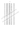| n24             | 174.7333 | 1586.0667 | .7761 | .9810 |  |
|-----------------|----------|-----------|-------|-------|--|
| ค25             | 174.8000 | 1558.3143 | .8947 | .9807 |  |
| ค26             | 175.0000 | 1555,7143 | .8294 | .9809 |  |
| f27             | 174.8667 | 1552.2667 | .8777 | .9808 |  |
| 128             | 175.4000 | 1600.4000 | .3996 | .9817 |  |
| 329             | 175.3333 | 1598.0952 | .4608 | .9816 |  |
| -30             | 175.2000 | 1601.0286 | .5990 | .9813 |  |
| -331            | 175.3333 | 1589.3810 | .6120 | .9813 |  |
| 32 <sub>2</sub> | 175.6000 | 1591.4000 | .6157 | .9813 |  |
| -133            | 175.2667 | 1597.2095 | .6364 | .9813 |  |
| -134            | 175.2667 | 1590.4952 | .7464 | .9810 |  |
| -135            | 175.6000 | 1555.2571 | .7815 | 39810 |  |
| 936             | 174.2667 | 1614.4952 | .3172 | 9817  |  |
| 937             | 174.6667 | 1623.8095 | 165   | .9818 |  |
| จ38             | 174.1333 | 1628.8381 | 1199  | .9820 |  |
| 939             | 174.6000 | 1585.2571 | .7012 | .9811 |  |
| จ40             | 174.9333 | 1568.3524 | .7582 | 9810  |  |
| 941             | 174.9383 | \$63.0667 | .8189 | :9809 |  |
| ገ42             | 174.6667 | 1567.5238 | .7288 | 9811  |  |
| 943             | 174.6000 | 1574.5429 | .7315 | .9811 |  |
|                 | 175.0000 | 1593.5744 | 7679  | .9811 |  |
| 945             | 174.7333 | 1573.0667 | 8874  | .9808 |  |
| 946             | 174.6667 | 1549,5238 | .9230 | .9807 |  |
| 947             | 175,0000 | 1560.1429 | .8242 | .9809 |  |
| <b>948</b>      | 175,0000 | 1597.1429 | .5095 | .9815 |  |
| 949             | 174.8000 | 1578.3143 | .7591 | .9810 |  |
| 950             | 175.2000 | 1577.7429 | .7433 | .9810 |  |
| ⁄\$51           | 174.8000 | 1572.0286 | .7829 | .9810 |  |
| ี ฉ52           | 175.0000 | 1591.7143 | .7038 | .9812 |  |
| <b>053</b>      | 174.8667 | 1565.5524 | .8230 | .9809 |  |
| 0.54            | 175.0000 | 1553.0000 | .8582 | .9808 |  |
| <b>0.55</b>     | 174.6000 | 1557.1143 | .8875 | .9807 |  |
| 0.56            | 174.7333 | 1557.7810 | .8902 | .9807 |  |

122

**RANCAS**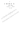| Q57  | 175,0000 | 1583.5714 | -7515 | .9811 |
|------|----------|-----------|-------|-------|
| Q58. | 174.8667 | 1567.1238 | .8600 | .9808 |

**RELIABILITY Coefficients** 

N of Items  $= 58$ N of Casses =  $15.0$ 

RIDUSORATION RATIONS CONTINUES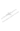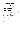#### รายชื่อหน่วยงานที่เป็นกลุ่มตัวอย่างเก็บข้อมูล

THUMP ENGINEER

- 1. ศูนย์การท่องเที่ยว กีฬาและนันทนาการจังหวัดนครสวรรค์
- 2. ศูนย์การท่องเที่ยว ก็พาและนันทนาการจังหวัดตาก
- 3. ศูนย์การท่องเที่ยว กีฬาและนันทนาการจังหวัดกำแพงเพชร
- 4. ศูนย์การท่องเที่ยว ก็พาและนันทนาการจังหวัดสุโขทัย
- 5. ศูนย์การท่องเที่ยว ก็พาและนันทนาการจังหวัดอุตรดิตถ์
- 6. ศูนย์การท่องเที่ยว ก็พาและนันทนาการจังหวัดพิษณุโลก
- 7. ศูนย์การท่องเที่ยว ก็พาและนันทนาการจังหวัดเพชรบูรณ์
- 8. ศูนย์การท่องเที่ยว ก็พาและนันทนาการจังหวัดพิจิตร
- 9. ศูนย์การท่องเที่ยว กีฬาและนันทนาการจังหวัดแพร่
- 10. ศูนย์การท่องเที่ยว ก็พาและนันทนาการจังหวัดน่าน
- 11. **ศูนย์การท่องเที่ยว ก็พาและนันทนาการจังห**รัดพะเยอุ<sup>ก</sup>ั
- 12. ศูนย์การท่องเที่ยว ก็พาและนันทนาการจังหวัดด้านใจ
- 13. ศูนย์การท่องเที่ยว ก็พาและนั่นทนวิการจังพุวัฒภาพูน
- 14. ศูนย์การท่องเที่ยว กีฬาและนั้นที่น้ำถางจี้จีตรีตะชื่องใหม่
- 15. ศูนย์การท่องเที่ยว ก็หญิและนั่นหน้าการจังหวัดเชียงราย 16. quย์การท่องเที่ยว กิ่ง และนั่นทนาการจังหวัดแม่ฮุ่องสอง<br>17. สูนย์การท่องเที่ยว กิ่ง และนั่นทนาการจังหวัดแม่ฮุ่องสอง<br>17. สูนย์การฟุองิงที่ยว ก็พาและนั่นทนาการวันเรื่อง หน้าได้ไปไปเรื่อง
- 
- TULE OF THE MAIN TRANS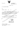

 $\vec{\hat{n}}$  at octors  $\overline{\hat{n}}$ 

สถาบันราชภัฏพิบูลสงคราม อำเภอเมือง จังหวัดพิษณุโลก ๖๕๐๐๐

\ขฺ∂ พฤศจิกายน  $\boldsymbol{a}$ đáb

เรื่อง ขอความอนุเคราะห์ในการเก็บข้อมูล

 $\bar{q}$ 

เรียน

สิ่งที่ส่งมาด้วย แบบสอบถาม

งำนวน

ชุด

**รูปทอง นักศึกษาปริญญาโท** หลักสูตรุศรุศาสตริมหาบัณฑิต ด้วย นายวีระ สาขา การบริหารการศึกษา รุ่นที่ ๔ <sub>.</sub><br>กำ**ลังคำเนินการทำวิทย์**วันิพมูช์ ∖\เรื่อง การศึกษาความคิดเห็นของ บุคลากร เกี่ยวกับความพร้อมในการดำเนินงานของศูนย์การพ่องเทื่อวัติพา และนันทนาการ จังหวัด เขต็ ภาคเหนือ ในการทำวิทยานิพนธ์คังกล่าว นัดสึกิษาจะต้องเข้าเก็บช้อมูลจากสถานที่จริง (พื่อน้ำมา ประกอบงานวิจัย โดยใช้แบบสอบถาม

ดังนั้น สำนักงานคณะกรรมการบัณฑิตศึกษา สถิ่งยันงาชที่ที่พิบูลสงคราม จึงใคร่ขอ ความอนเคราะห์งานทิน โปรดอนุญาตานั้นกลึกษาผู้นี้ได้เข้าเก็บข้อมูล ในครั้งนี้ด้วย

จึงเรียนมาเพื่อ โปรดพิจารณาให้ฟังามอนุเคราะห์ และขอขอบพระคุณมา ณ โอกาสนี้

ขอแสดงความนับถือ

(ผู้ช่วยศาสตราจารย์ทองคำ บ่อคำ) รองอธิการบดี รักษาราชการแทน อธิการบดีสถาบันราชภัฏติบูลสงคราม

สำนักงานคณะกรรมการบัณฑิคศึกษา

 $\ln 5$ , o-coloc-coco no olog , o-coloc-goog โทรสาร, o-๕๕๒๔-๑๗๑๑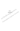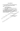## แบบสอบถามเพื่อการวิจัย

#### ้เรื่อง การศึกษาความคิดเห็นของบุคลากรเกี่ยวกับความพร้อมในการดำเนินงานของ ศูนย์การท่องเที่ยว ก็พาและนันทนาการจังหวัด เขตภาคเหนือ คำที่แจง

1. แบบสอบถามนี้แบ่งออกเป็น 2 ตอน

ิตอนที่ 1 สถานภาพของผู้ตอบแบบสอบถาม

ี ตอนที่ 2 ความพร้อมในการดำเนินงานของศูนย์ภารท่องเที่ยว ก็พาและนันทนาการ จังหวัด เขตภาคเหนือ ด้านปัจจัย

2. โปรดดอบให้ตรงกับความเป็นจริงมากที่สุด ข้อมูลที่ใต้จะนำไปวิเคราะห์เป็นการเขาม ผลการจุจีย์อะลามารถได้ ไม่มีผลกระทบต่อผู้คอบแบบสอบถามเป็นรายบุคคลหรือหน่วยงาน ข้อมูลพื้นฐานที่จะช่วยให้ผู้บริหารและคณะกรรมการบริหารงาน ใช้เป็นแน่งทางในการปรับปรุง และส่งเสริมการดำเนินงานขององค์กรให้ดียิ่งขึ้น อันจะเป็นประโยชน์โดยตรงต่อการท่องเที่ยว กีฬาและนั้นทนาการของประเทศต่อไป

ขอขอบคุณที่กรุณาให้ความจั่วมั

ธปท้อง นักศึกษาปริญญาโหนทางการบริหารการศึกษา <u>ั</u><br>ผู้ใส่คำบันราชภัฏพิบูลสงคราม This live of the finite Re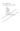ดอนที่ 1 สถานภาพของผู้ตอบแบบสอบถาม

# คำชี้แจง โปรดเขียนเครื่องหมาย √ ลงในช่อง ( ) ตามความเป็นจริง

#### 1. LWA

- $\overline{C}$ ) ชาย
- ) หฌิง  $\epsilon$
- 2. วุฒิการศึกษา
	- ) ต่ำกว่าปริญญาตรี  $\overline{C}$
	- ) ปริญญาตรี  $\overline{C}$
	- ) สูงกว่าปริญญาตรี €
- 3. ประสบการณ์ทำงาน
	- ) ต่ำกว่า 5 ปี  $\overline{C}$
	- $5 10$ ปี  $\overline{C}$
	- ) มากว่า 10 ปีขึ้นไป  $\overline{(\ }$
- 4. ด้าแหน่ง

MAGOTOS

) ผู้บริหารดูแย็กลงท้องเที่ยว ก็พาและนั่นทนาการจังหวัด  $\overline{\mathcal{L}}$ 

PARTIES READER

ช้าธาชกงิตทูนย์การท่องเที่ยว ก็พาและนั่นพนังการจังหวัด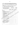# ตอนที่ 2 ความพร้อมในการดำเนินงานของศูนย์การท่องเที่ยว กีฬาและนันทนาการ จังหวัด เขตภาคเหนือ ตามทรรศนะของผู้บริหารและข้าราชการภายในศูนย์ คำชี้แจง

โปรดขีดเครื่องหมาย ✔ ลงในช่องระดับความพร้อมในการดำเนินงานของศูนย์การท่อง เที่ยว กีฬาและนันทนาการจังหวัด เขตภาคเหนือ ตามสภาพความเป็นจริง

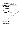| ความพร้อมในการดำเนินงานของศูนย์การ<br>ท่องเที่ยว กีฬาและนันทนาการจังหวัด |               | ระดับความพร้อม | ล้าหรับ<br>ผู้วิจัย |      |                |  |  |
|--------------------------------------------------------------------------|---------------|----------------|---------------------|------|----------------|--|--|
|                                                                          | มาก<br>ที่สุด | ນາກ            | ปาน<br>nana         | น้อย | น้อย<br>ที่สุด |  |  |
| 9. การมอบหมายภารกิจเหมาะสมกับความรู้                                     |               |                |                     |      |                |  |  |
| ความสามารถและความถนัดของบุคคล                                            |               |                |                     |      |                |  |  |
| 10. ความมู่งมั่นและจริงจังในการพัฒนาคุณ                                  |               |                |                     |      |                |  |  |
| ภาพการดำเนินงานของบุคลากร                                                |               |                |                     |      |                |  |  |
| 11. การให้ขวัญและกำลังใจในการปฏิบัติงาน                                  |               |                |                     |      |                |  |  |
|                                                                          |               |                |                     |      |                |  |  |
| ด้านงบประมาณ                                                             |               |                |                     |      |                |  |  |
| 12. งบประมาณที่ได้รับการจัดสรรจากรัฐบาล                                  |               |                |                     |      |                |  |  |
| มีเพียงพอ                                                                |               |                |                     |      |                |  |  |
| 13. กองทุนเพื่อการกีฬา เป็นทุนการศึกษา                                   |               |                |                     |      |                |  |  |
| สำหรับนักกีฬา                                                            |               |                |                     |      |                |  |  |
| 14. มีความคล่องด้วในการบริหารงบประมาณ                                    |               |                |                     |      |                |  |  |
| 15. มีการหางบประมาณจากแหล่งอื่น ๆ มีข                                    |               |                |                     |      |                |  |  |
| สนับสนุน                                                                 |               |                |                     |      |                |  |  |
| 16. มีการจัดกิจครรมเพื่อสิ่งทุนมาสนับสนุน                                |               |                |                     |      |                |  |  |
| ออกคำหนังได้การท่องเที่ยว                                                |               |                |                     |      |                |  |  |
| 7. มีการจัดกิจกรรมเพื่อหาทุนมาสนับสนุน                                   |               |                |                     |      |                |  |  |
| กิ่งรด้าเนินงานการกีฬาและนั้นทุนทำ                                       |               |                |                     |      |                |  |  |
| 48. งบบ่ระมาณสำหรับการ <del>ศึ</del> กษาดูงานของ                         |               |                |                     |      |                |  |  |
| บคลากร                                                                   |               |                |                     |      |                |  |  |
| 19. มีการวางแผนดำริใช้สายงับประมาณให้                                    |               |                |                     |      |                |  |  |
| ครอบคลุมแผนปฏิบัติงาน                                                    |               |                |                     |      |                |  |  |
| 20 (ค) กมสามารถติดตาม <b>ตรวจสอบการใช้</b>                               |               |                |                     |      |                |  |  |
| ึ จำยงบประมา <b>ณระบบบัญชีคงค้าง</b>                                     |               |                |                     |      |                |  |  |
| 21. การใช้จ่ายงบประมาณตรงตามเป้าหมาย                                     |               |                |                     |      |                |  |  |
| และวัดถุประสงค์ โดยมุ่งเน้นประทยัตและ                                    |               | kÖ.            |                     |      |                |  |  |
| เกิดผลสัมฤทธิ์                                                           |               |                |                     |      |                |  |  |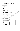| ความพร้อมในการดำเนินงานของศูนย์การ<br>ท่องเที่ยว ก็พาและนันทนาการจังหวัด |                                                           |             | ระดับความพร้อม | สำหรับ<br>ผู้วิจัย |      |                |  |  |
|--------------------------------------------------------------------------|-----------------------------------------------------------|-------------|----------------|--------------------|------|----------------|--|--|
|                                                                          |                                                           |             | มาก            | ปาน<br>กลาง        | น้อย | น้อย<br>ที่สุด |  |  |
| ด้านการวางแผน                                                            |                                                           |             |                |                    |      |                |  |  |
| 22. มีการดำเนินการศึกษาปัญหาความ                                         |                                                           |             |                |                    |      |                |  |  |
|                                                                          | ต้องการของชุมชนก่อนวางแผนดำเนิน                           |             |                |                    |      |                |  |  |
|                                                                          | 23. มีการกำหนดแผนยุทธศาสตร์การพัฒนา                       |             |                |                    |      |                |  |  |
| ตรงตามความต้องการของท้องถิ่น .                                           |                                                           |             |                |                    |      |                |  |  |
| 24. แผนปฏิบัติงานเหมาะสมตรงตามเป้า                                       |                                                           |             |                |                    |      |                |  |  |
|                                                                          | หมายและวัตถุประสงค์                                       |             |                |                    |      |                |  |  |
| 25. มีการควบคุม กำกับ ดูแล นิเทศให้การ                                   |                                                           |             |                |                    |      |                |  |  |
|                                                                          | ดำเนินงานบรรลุตามแผนอย่างสม่ำเสมอ                         |             |                |                    |      |                |  |  |
|                                                                          | 26. มีแผนส่งเสริมการพัฒนาบุคลากรเข้ารัฐ                   |             |                |                    |      |                |  |  |
|                                                                          |                                                           |             |                |                    |      |                |  |  |
|                                                                          | 27. มีการวางแผนพัฒนาการปฏิบัติง่านของ                     |             |                |                    |      |                |  |  |
|                                                                          |                                                           |             |                |                    |      |                |  |  |
| ด้านพัสด<br>28. มีวิสตูเพียงพอต่อการปฏิบัติภารกิจ                        |                                                           |             |                |                    |      |                |  |  |
|                                                                          | $\chi$ 9. มีครูภัณฑ์เพียงพอต่อการปฏิบัติภาชที่ตู $\chi$   |             |                |                    |      |                |  |  |
| 30. มีที่ดินและสิ่งก่อสร้างเพื่มงพอแล้ม )                                |                                                           |             |                |                    |      |                |  |  |
|                                                                          | ตอบสนองความต้องกสุรัมดังห้องถิ่น                          |             |                |                    |      |                |  |  |
|                                                                          | 31. มีการจัดเก็บวัสดุ ทิ้งที่มีชิ้นป็นระบบ                | . 1         |                |                    |      |                |  |  |
|                                                                          | 32. มีการบำรุงชัยมิแซมวัสดุ ครุภัณฑ์ ที่ดิน               |             |                |                    |      |                |  |  |
|                                                                          | <sup>0</sup> และสิงค่อสร้างเมื่อมีกา <b>รชำรุดเสียหาย</b> |             |                |                    |      |                |  |  |
| 33. จำน้านสื่อประกอบการจัดกิจกรรมมี                                      |                                                           |             |                |                    |      |                |  |  |
| เพียงพอ                                                                  |                                                           | 1.1.1.1.1   |                |                    |      |                |  |  |
|                                                                          | 34. มีระบบบริหารการพัสดุที่มีประสิทธิภาพ .                | $\cdots$    |                |                    |      |                |  |  |
|                                                                          | 35. ได้รับความร่วมมือจากชุมชน ท้องถิ่นให้                 |             |                |                    |      |                |  |  |
|                                                                          | การสนับสนุนด้านพัสดุ                                      | ¦ <i></i> . |                |                    |      |                |  |  |

 $\overline{\phantom{a}}$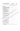| ความพร้อมในการดำเนินงานของศูนย์การ<br>ท่องเที่ยว กีฬาและนันทนาการจังหวัด |  |        | <b>ระดับความพร้อม</b> | สำหรับ<br>ผู้วิจัย |      |        |  |  |
|--------------------------------------------------------------------------|--|--------|-----------------------|--------------------|------|--------|--|--|
|                                                                          |  | มาก    | มาก                   | ปาน                | น้อย | น้อย   |  |  |
|                                                                          |  | ที่สุด |                       | กลาง               |      | ที่สุด |  |  |
| ด้านบริการชุมชน                                                          |  |        |                       |                    |      |        |  |  |
| 36. บริเวณออกกำลังกายเหมาะสม ปลอดภัย                                     |  |        |                       |                    |      |        |  |  |
| 37. บริเวณสถานที่พักผ่อนเหมาะสมปลอดภัย                                   |  |        |                       |                    |      |        |  |  |
| 38. สถานที่และสิ่งแวดล้อมบริเวณศูนย์ ฯ เอื้อ                             |  |        |                       |                    |      |        |  |  |
| ต่อการจัดกิจกรรม                                                         |  |        |                       |                    |      |        |  |  |
| 39. มีการสนับสนุนให้ชุมชนใต้เข้าร่วมกิจ                                  |  |        |                       |                    |      |        |  |  |
| กรรมการดำเนินของศูนย์ ฯ.                                                 |  |        |                       |                    |      |        |  |  |
| 40. มีการจัดบริการแหล่งความรู้และสนับสนุน                                |  |        |                       |                    |      |        |  |  |
| ้อื่น ๆ ที่เอื้อต่อการเรียนรู้ด้านการ                                    |  |        |                       |                    |      |        |  |  |
| ท่องเที่ยว                                                               |  |        |                       |                    |      |        |  |  |
| 41. มีการจัดบริการให้คำปรึกษาและสนับสนุน                                 |  |        |                       |                    |      |        |  |  |
| ้อื่น ๆ ที่เอื้อต่อการเรียนรู้ต้านการ                                    |  |        |                       |                    |      |        |  |  |
| ท่องเที่ยว                                                               |  |        |                       |                    |      |        |  |  |
| 42. มีการจัดบริการแหลงความรู้และสนับสนุน                                 |  |        |                       |                    |      |        |  |  |
| อื่น ๆ ที่เอื้อต่อกุสสริมพรูต้านกีฬาและ                                  |  |        |                       |                    |      |        |  |  |
| นันทนากซิ                                                                |  |        |                       |                    |      |        |  |  |
| มีการจัดปริการให้คำปรึกษาและสนับสนุน                                     |  |        |                       |                    |      |        |  |  |
| $\backslash$ ถิ่น จุ๊ ที่เอื้อต่อการเรียนรู้ด้านการกีฬ $\mathscr{C}$     |  |        |                       |                    |      |        |  |  |
| และนั้นทนาการ                                                            |  |        |                       |                    |      |        |  |  |
| 44. มีการจัดระบบข้อมูลลาสุฟังอาศัยวกับ                                   |  |        |                       |                    |      |        |  |  |
| การท่องเที่ยว <b>ถูกต้อง</b>                                             |  |        |                       |                    |      |        |  |  |
| 45. มีการจัดิจะบินข้อมูลสารสนเทศเกี่ยวกับ                                |  |        |                       |                    |      |        |  |  |
| <u>&amp; ก็ตรุปิจะนี้นักนาการที่ถูกต้อง </u>                             |  |        |                       |                    |      |        |  |  |
| 46. กิวรพีฒนาความรู้ความสามารถและความ                                    |  |        |                       |                    |      |        |  |  |
| ้ถนัดได้ตามศักยภาพของบุคลากรใน                                           |  |        |                       |                    |      |        |  |  |
| ชุมชน                                                                    |  |        |                       |                    |      |        |  |  |
| 47. ศักยภาพในการอำนวยการการจัดกิจ-                                       |  |        |                       |                    |      |        |  |  |
| กรรมส่งเสริมสุขภาพ                                                       |  |        |                       |                    |      |        |  |  |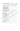| ความพร้อมในการดำเนินงานของศูนย์การ<br>ท่องเที่ยว ก็พาและนั่นทนาการจังหวัด |        | ระดับความพร้อม |      |      |        |          |  |
|---------------------------------------------------------------------------|--------|----------------|------|------|--------|----------|--|
|                                                                           | มาก    | มาก            | ปาน  | น้อย | น้อย   | ผู้วิจัย |  |
|                                                                           | ที่สุด |                | กลาง |      | ที่สุด |          |  |
| 48. ความร่วมมือช่วยเหลือจากองค์กรของรัฐ<br>นละท้องถิ่น                    |        |                |      |      |        |          |  |
| 49. การให้ความร่วมมือช่วยเหลือส่งเสริม                                    |        |                |      |      |        |          |  |
| องค์กรของรัฐ เอกชนและท้องถิ่น .                                           |        |                |      |      |        |          |  |
| 50. การประชาสัมพันธ์ให้บุคลากรของท้องถิ่น                                 |        |                |      |      |        |          |  |
| ได้รับทราบความเคลื่อนไหวด้านการ                                           |        |                |      |      |        |          |  |
|                                                                           |        |                |      |      |        |          |  |
| 51. การประชาสัมพันธ์ให้บุคลากรของท้องถิ่น                                 |        |                |      |      |        |          |  |
| ได้รับทราบความเคลื่อนไหวด้านการกีฬา                                       |        |                |      |      |        |          |  |
| นละนั้นทนาการ                                                             |        |                |      |      |        |          |  |
| ด้านการติดตามประเมินผล                                                    |        |                |      |      |        |          |  |
| 52. มีการวางแผนเพื่อติดตามประเมินยุค                                      |        |                |      |      |        |          |  |
| กิจกรรมของศูนย์ ฯ                                                         |        |                |      |      |        |          |  |
| 53. มีการรวบรวมข้อมูลเสียงกับทางท่อง                                      |        |                |      |      |        |          |  |
| เที่ยว กีฬาและนับที่นั่งการด้วยเทคโนโลยี                                  |        |                |      |      |        |          |  |
| 54 มีการประเมินผลโครั้งการ/กิจกรรม                                        |        |                |      |      |        |          |  |
| 55. มีการราบุจรินผลความก้าวหน้าในการ                                      |        |                |      |      |        |          |  |
| √ด้าเชินงานอย่างเป็นระบบ                                                  |        |                |      |      |        |          |  |
| 56. มีการรายงานผลการปฏิบัติ <i>ง</i> สุนัติสินมัน                         |        |                |      |      |        |          |  |
| งานโครงการ เป็นระบุชัง ไง้                                                |        |                |      |      |        |          |  |
| 57. มีการดำเนินงานดี้ขึ้นเทร์ประเมินผลงาน                                 |        |                |      |      |        |          |  |
| วิชากุวจุ                                                                 |        |                |      |      |        |          |  |
| 58 มีการนิวนิสตารประเมินไปใช้ในกา <b>รนิเทศ</b>                           |        |                |      |      |        |          |  |
| และพัฒนาศูนย์ ฯ                                                           |        |                |      |      |        |          |  |
|                                                                           |        |                |      |      |        |          |  |

 $\bar{\mathcal{A}}$ 

 $\sim 10^7$ 

 $\frac{1}{2}$